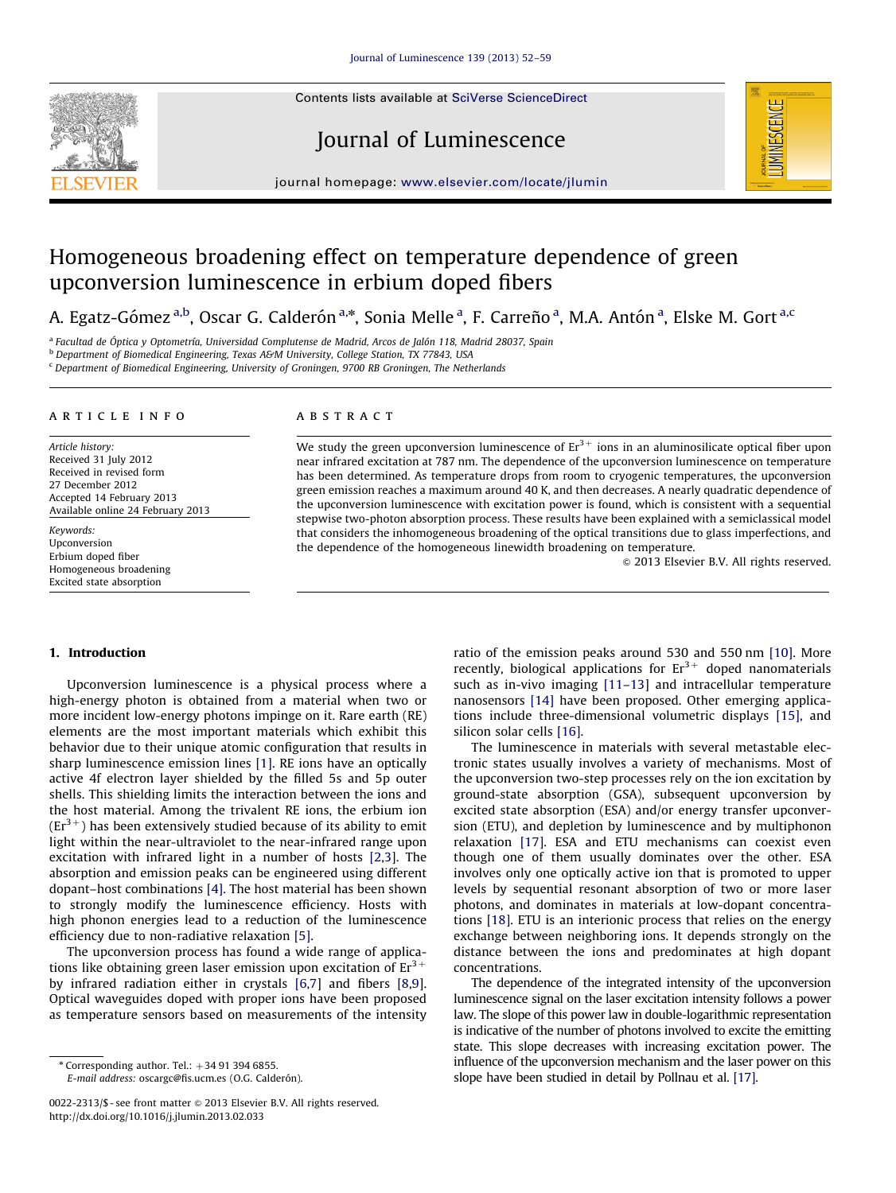Contents lists available at [SciVerse ScienceDirect](www.elsevier.com/locate/jlumin)







journal homepage: <www.elsevier.com/locate/jlumin>

# Homogeneous broadening effect on temperature dependence of green upconversion luminescence in erbium doped fibers

A. Egatz-Gómez <sup>a,b</sup>, Oscar G. Calderón <sup>a,</sup>\*, Sonia Melle <sup>a</sup>, F. Carreño <sup>a</sup>, M.A. Antón <sup>a</sup>, Elske M. Gort <sup>a,c</sup>

<sup>a</sup> Facultad de Óptica y Optometría, Universidad Complutense de Madrid, Arcos de Jalón 118, Madrid 28037, Spain

b Department of Biomedical Engineering, Texas A&M University, College Station, TX 77843, USA

<sup>c</sup> Department of Biomedical Engineering, University of Groningen, 9700 RB Groningen, The Netherlands

#### article info

Article history: Received 31 July 2012 Received in revised form 27 December 2012 Accepted 14 February 2013 Available online 24 February 2013

Keywords: Upconversion Erbium doped fiber Homogeneous broadening Excited state absorption

### **ABSTRACT**

We study the green upconversion luminescence of  $Er^{3+}$  ions in an aluminosilicate optical fiber upon near infrared excitation at 787 nm. The dependence of the upconversion luminescence on temperature has been determined. As temperature drops from room to cryogenic temperatures, the upconversion green emission reaches a maximum around 40 K, and then decreases. A nearly quadratic dependence of the upconversion luminescence with excitation power is found, which is consistent with a sequential stepwise two-photon absorption process. These results have been explained with a semiclassical model that considers the inhomogeneous broadening of the optical transitions due to glass imperfections, and the dependence of the homogeneous linewidth broadening on temperature.

 $\odot$  2013 Elsevier B.V. All rights reserved.

## 1. Introduction

Upconversion luminescence is a physical process where a high-energy photon is obtained from a material when two or more incident low-energy photons impinge on it. Rare earth (RE) elements are the most important materials which exhibit this behavior due to their unique atomic configuration that results in sharp luminescence emission lines [\[1\].](#page-7-0) RE ions have an optically active 4f electron layer shielded by the filled 5s and 5p outer shells. This shielding limits the interaction between the ions and the host material. Among the trivalent RE ions, the erbium ion  $(Er<sup>3+</sup>)$  has been extensively studied because of its ability to emit light within the near-ultraviolet to the near-infrared range upon excitation with infrared light in a number of hosts [\[2,3](#page-7-0)]. The absorption and emission peaks can be engineered using different dopant–host combinations [\[4\]](#page-7-0). The host material has been shown to strongly modify the luminescence efficiency. Hosts with high phonon energies lead to a reduction of the luminescence efficiency due to non-radiative relaxation [\[5\].](#page-7-0)

The upconversion process has found a wide range of applications like obtaining green laser emission upon excitation of  $Er^{3+}$ by infrared radiation either in crystals [\[6](#page-7-0),[7\]](#page-7-0) and fibers [\[8](#page-7-0),[9\]](#page-7-0). Optical waveguides doped with proper ions have been proposed as temperature sensors based on measurements of the intensity

E-mail address: oscargc@fis.ucm.es (O.G. Calderón).

ratio of the emission peaks around 530 and 550 nm [\[10\]](#page-7-0). More recently, biological applications for  $Er<sup>3+</sup>$  doped nanomaterials such as in-vivo imaging [\[11–13\]](#page-7-0) and intracellular temperature nanosensors [\[14\]](#page-7-0) have been proposed. Other emerging applications include three-dimensional volumetric displays [\[15\],](#page-7-0) and silicon solar cells [\[16\]](#page-7-0).

The luminescence in materials with several metastable electronic states usually involves a variety of mechanisms. Most of the upconversion two-step processes rely on the ion excitation by ground-state absorption (GSA), subsequent upconversion by excited state absorption (ESA) and/or energy transfer upconversion (ETU), and depletion by luminescence and by multiphonon relaxation [\[17\].](#page-7-0) ESA and ETU mechanisms can coexist even though one of them usually dominates over the other. ESA involves only one optically active ion that is promoted to upper levels by sequential resonant absorption of two or more laser photons, and dominates in materials at low-dopant concentrations [\[18\]](#page-7-0). ETU is an interionic process that relies on the energy exchange between neighboring ions. It depends strongly on the distance between the ions and predominates at high dopant concentrations.

The dependence of the integrated intensity of the upconversion luminescence signal on the laser excitation intensity follows a power law. The slope of this power law in double-logarithmic representation is indicative of the number of photons involved to excite the emitting state. This slope decreases with increasing excitation power. The influence of the upconversion mechanism and the laser power on this slope have been studied in detail by Pollnau et al. [\[17\]](#page-7-0).

 $*$  Corresponding author. Tel.:  $+34$  91 394 6855.

<sup>0022-2313/\$ -</sup> see front matter @ 2013 Elsevier B.V. All rights reserved. <http://dx.doi.org/10.1016/j.jlumin.2013.02.033>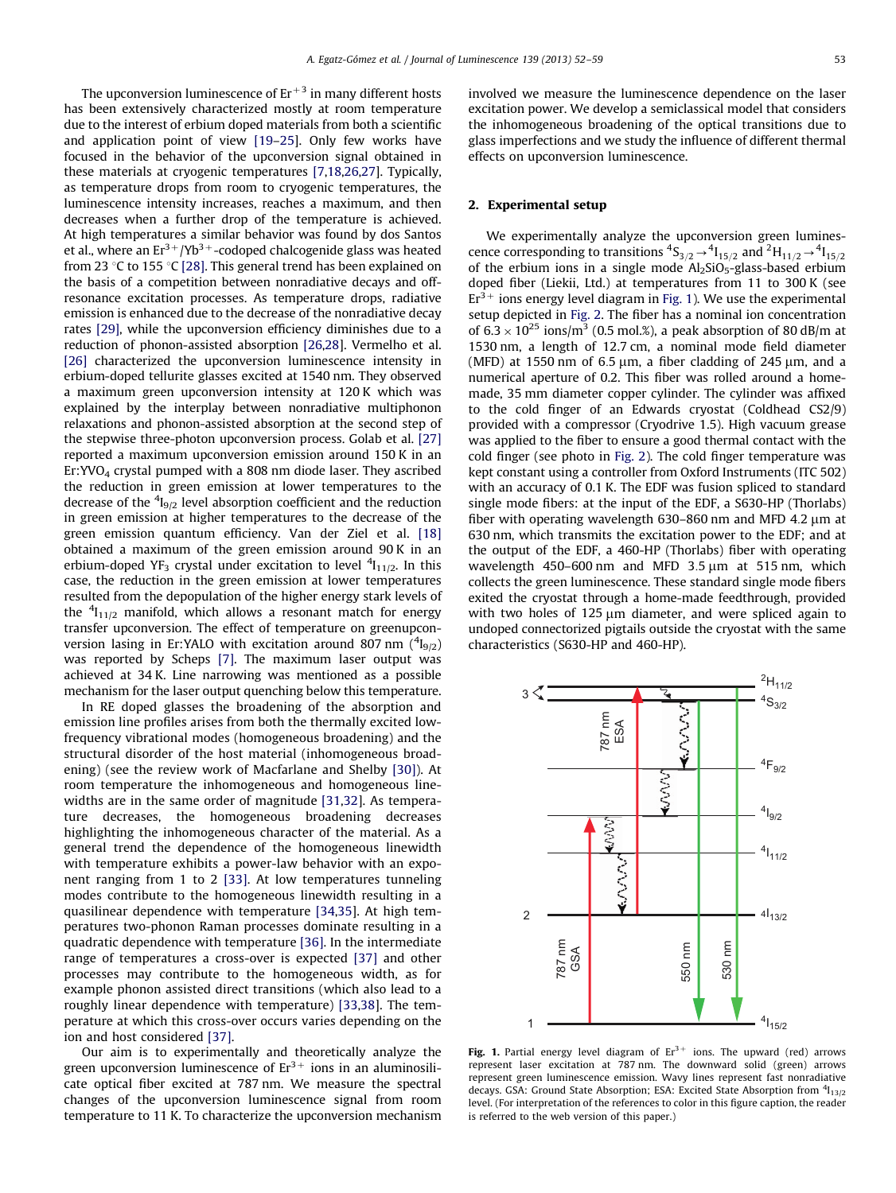<span id="page-1-0"></span>The upconversion luminescence of  $Er<sup>+3</sup>$  in many different hosts has been extensively characterized mostly at room temperature due to the interest of erbium doped materials from both a scientific and application point of view [\[19–25\]](#page-7-0). Only few works have focused in the behavior of the upconversion signal obtained in these materials at cryogenic temperatures [\[7,18,26,27\]](#page-7-0). Typically, as temperature drops from room to cryogenic temperatures, the luminescence intensity increases, reaches a maximum, and then decreases when a further drop of the temperature is achieved. At high temperatures a similar behavior was found by dos Santos et al., where an  $Er^{3+}/Yb^{3+}$ -codoped chalcogenide glass was heated from 23 °C to 155 °C [\[28\]](#page-7-0). This general trend has been explained on the basis of a competition between nonradiative decays and offresonance excitation processes. As temperature drops, radiative emission is enhanced due to the decrease of the nonradiative decay rates [\[29\]](#page-7-0), while the upconversion efficiency diminishes due to a reduction of phonon-assisted absorption [\[26,28\]](#page-7-0). Vermelho et al. [\[26\]](#page-7-0) characterized the upconversion luminescence intensity in erbium-doped tellurite glasses excited at 1540 nm. They observed a maximum green upconversion intensity at 120 K which was explained by the interplay between nonradiative multiphonon relaxations and phonon-assisted absorption at the second step of the stepwise three-photon upconversion process. Golab et al. [\[27\]](#page-7-0) reported a maximum upconversion emission around 150 K in an Er:YVO4 crystal pumped with a 808 nm diode laser. They ascribed the reduction in green emission at lower temperatures to the decrease of the  $\rm ^4I_{9/2}$  level absorption coefficient and the reduction in green emission at higher temperatures to the decrease of the green emission quantum efficiency. Van der Ziel et al. [\[18\]](#page-7-0) obtained a maximum of the green emission around 90 K in an erbium-doped YF<sub>3</sub> crystal under excitation to level  $^4$ I<sub>11/2</sub>. In this case, the reduction in the green emission at lower temperatures resulted from the depopulation of the higher energy stark levels of the  $\frac{4}{11}{12}$  manifold, which allows a resonant match for energy transfer upconversion. The effect of temperature on greenupconversion lasing in Er:YALO with excitation around 807 nm  $(^4{\rm I}_{9/2})$ was reported by Scheps [\[7\].](#page-7-0) The maximum laser output was achieved at 34 K. Line narrowing was mentioned as a possible mechanism for the laser output quenching below this temperature.

In RE doped glasses the broadening of the absorption and emission line profiles arises from both the thermally excited lowfrequency vibrational modes (homogeneous broadening) and the structural disorder of the host material (inhomogeneous broadening) (see the review work of Macfarlane and Shelby [\[30\]\)](#page-7-0). At room temperature the inhomogeneous and homogeneous linewidths are in the same order of magnitude [\[31,32](#page-7-0)]. As temperature decreases, the homogeneous broadening decreases highlighting the inhomogeneous character of the material. As a general trend the dependence of the homogeneous linewidth with temperature exhibits a power-law behavior with an exponent ranging from 1 to 2 [\[33\].](#page-7-0) At low temperatures tunneling modes contribute to the homogeneous linewidth resulting in a quasilinear dependence with temperature [\[34,35](#page-7-0)]. At high temperatures two-phonon Raman processes dominate resulting in a quadratic dependence with temperature [\[36\]](#page-7-0). In the intermediate range of temperatures a cross-over is expected [\[37\]](#page-7-0) and other processes may contribute to the homogeneous width, as for example phonon assisted direct transitions (which also lead to a roughly linear dependence with temperature) [\[33,38](#page-7-0)]. The temperature at which this cross-over occurs varies depending on the ion and host considered [\[37\].](#page-7-0)

Our aim is to experimentally and theoretically analyze the green upconversion luminescence of  $Er^{3+}$  ions in an aluminosilicate optical fiber excited at 787 nm. We measure the spectral changes of the upconversion luminescence signal from room temperature to 11 K. To characterize the upconversion mechanism involved we measure the luminescence dependence on the laser excitation power. We develop a semiclassical model that considers the inhomogeneous broadening of the optical transitions due to glass imperfections and we study the influence of different thermal effects on upconversion luminescence.

## 2. Experimental setup

We experimentally analyze the upconversion green luminescence corresponding to transitions  ${}^4S_{3/2} \rightarrow {}^4I_{15/2}$  and  ${}^2H_{11/2} \rightarrow {}^4I_{15/2}$ of the erbium ions in a single mode  $Al_2SiO_5-glass$ -based erbium doped fiber (Liekii, Ltd.) at temperatures from 11 to 300 K (see  $Er<sup>3+</sup>$  ions energy level diagram in Fig. 1). We use the experimental setup depicted in [Fig. 2.](#page-2-0) The fiber has a nominal ion concentration of  $6.3 \times 10^{25}$  ions/m<sup>3</sup> (0.5 mol.%), a peak absorption of 80 dB/m at 1530 nm, a length of 12.7 cm, a nominal mode field diameter (MFD) at 1550 nm of  $6.5 \mu m$ , a fiber cladding of 245  $\mu m$ , and a numerical aperture of 0.2. This fiber was rolled around a homemade, 35 mm diameter copper cylinder. The cylinder was affixed to the cold finger of an Edwards cryostat (Coldhead CS2/9) provided with a compressor (Cryodrive 1.5). High vacuum grease was applied to the fiber to ensure a good thermal contact with the cold finger (see photo in [Fig. 2](#page-2-0)). The cold finger temperature was kept constant using a controller from Oxford Instruments (ITC 502) with an accuracy of 0.1 K. The EDF was fusion spliced to standard single mode fibers: at the input of the EDF, a S630-HP (Thorlabs) fiber with operating wavelength  $630-860$  nm and MFD  $4.2 \mu m$  at 630 nm, which transmits the excitation power to the EDF; and at the output of the EDF, a 460-HP (Thorlabs) fiber with operating wavelength  $450-600$  nm and MFD  $3.5 \mu m$  at  $515$  nm, which collects the green luminescence. These standard single mode fibers exited the cryostat through a home-made feedthrough, provided with two holes of  $125 \mu m$  diameter, and were spliced again to undoped connectorized pigtails outside the cryostat with the same characteristics (S630-HP and 460-HP).



Fig. 1. Partial energy level diagram of  $Er^{3+}$  ions. The upward (red) arrows represent laser excitation at 787 nm. The downward solid (green) arrows represent green luminescence emission. Wavy lines represent fast nonradiative decays. GSA: Ground State Absorption; ESA: Excited State Absorption from <sup>4</sup>I<sub>13/2</sub> level. (For interpretation of the references to color in this figure caption, the reader is referred to the web version of this paper.)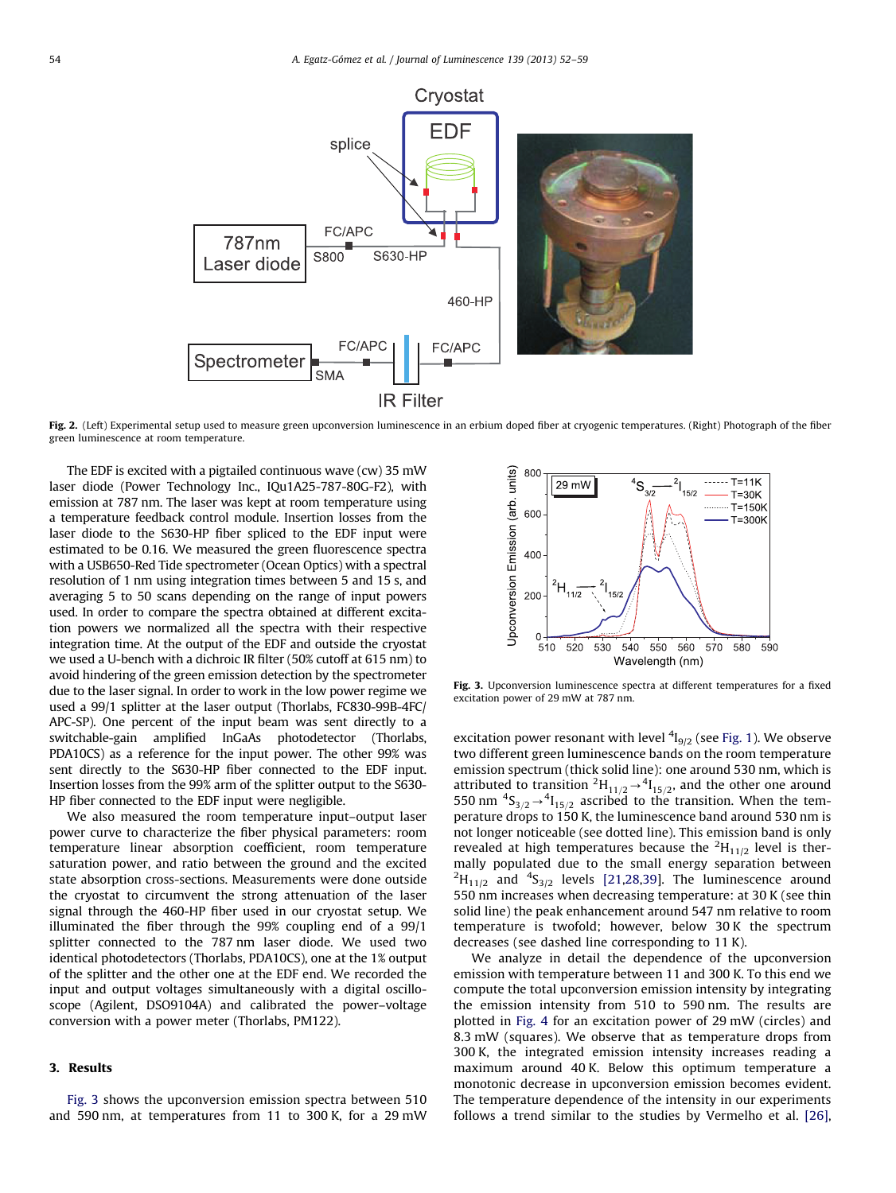<span id="page-2-0"></span>

Fig. 2. (Left) Experimental setup used to measure green upconversion luminescence in an erbium doped fiber at cryogenic temperatures. (Right) Photograph of the fiber green luminescence at room temperature.

The EDF is excited with a pigtailed continuous wave (cw) 35 mW laser diode (Power Technology Inc., IQu1A25-787-80G-F2), with emission at 787 nm. The laser was kept at room temperature using a temperature feedback control module. Insertion losses from the laser diode to the S630-HP fiber spliced to the EDF input were estimated to be 0.16. We measured the green fluorescence spectra with a USB650-Red Tide spectrometer (Ocean Optics) with a spectral resolution of 1 nm using integration times between 5 and 15 s, and averaging 5 to 50 scans depending on the range of input powers used. In order to compare the spectra obtained at different excitation powers we normalized all the spectra with their respective integration time. At the output of the EDF and outside the cryostat we used a U-bench with a dichroic IR filter (50% cutoff at 615 nm) to avoid hindering of the green emission detection by the spectrometer due to the laser signal. In order to work in the low power regime we used a 99/1 splitter at the laser output (Thorlabs, FC830-99B-4FC/ APC-SP). One percent of the input beam was sent directly to a switchable-gain amplified InGaAs photodetector (Thorlabs, PDA10CS) as a reference for the input power. The other 99% was sent directly to the S630-HP fiber connected to the EDF input. Insertion losses from the 99% arm of the splitter output to the S630- HP fiber connected to the EDF input were negligible.

We also measured the room temperature input–output laser power curve to characterize the fiber physical parameters: room temperature linear absorption coefficient, room temperature saturation power, and ratio between the ground and the excited state absorption cross-sections. Measurements were done outside the cryostat to circumvent the strong attenuation of the laser signal through the 460-HP fiber used in our cryostat setup. We illuminated the fiber through the 99% coupling end of a 99/1 splitter connected to the 787 nm laser diode. We used two identical photodetectors (Thorlabs, PDA10CS), one at the 1% output of the splitter and the other one at the EDF end. We recorded the input and output voltages simultaneously with a digital oscilloscope (Agilent, DSO9104A) and calibrated the power–voltage conversion with a power meter (Thorlabs, PM122).

## 3. Results

Fig. 3 shows the upconversion emission spectra between 510 and 590 nm, at temperatures from 11 to 300 K, for a 29 mW



Fig. 3. Upconversion luminescence spectra at different temperatures for a fixed excitation power of 29 mW at 787 nm.

excitation power resonant with level  $\frac{4}{9/2}$  (see [Fig. 1\)](#page-1-0). We observe two different green luminescence bands on the room temperature emission spectrum (thick solid line): one around 530 nm, which is attributed to transition  ${}^2H_{11/2} \rightarrow {}^4I_{15/2}$ , and the other one around 550 nm  ${}^{4}S_{3/2}$   $\rightarrow {}^{4}I_{15/2}$  ascribed to the transition. When the temperature drops to 150 K, the luminescence band around 530 nm is not longer noticeable (see dotted line). This emission band is only revealed at high temperatures because the  ${}^{2}H_{11/2}$  level is thermally populated due to the small energy separation between  ${}^{2}H_{11/2}$  and  ${}^{4}S_{3/2}$  levels [\[21,28,39\]](#page-7-0). The luminescence around 550 nm increases when decreasing temperature: at 30 K (see thin solid line) the peak enhancement around 547 nm relative to room temperature is twofold; however, below 30 K the spectrum decreases (see dashed line corresponding to 11 K).

We analyze in detail the dependence of the upconversion emission with temperature between 11 and 300 K. To this end we compute the total upconversion emission intensity by integrating the emission intensity from 510 to 590 nm. The results are plotted in [Fig. 4](#page-3-0) for an excitation power of 29 mW (circles) and 8.3 mW (squares). We observe that as temperature drops from 300 K, the integrated emission intensity increases reading a maximum around 40 K. Below this optimum temperature a monotonic decrease in upconversion emission becomes evident. The temperature dependence of the intensity in our experiments follows a trend similar to the studies by Vermelho et al. [\[26\],](#page-7-0)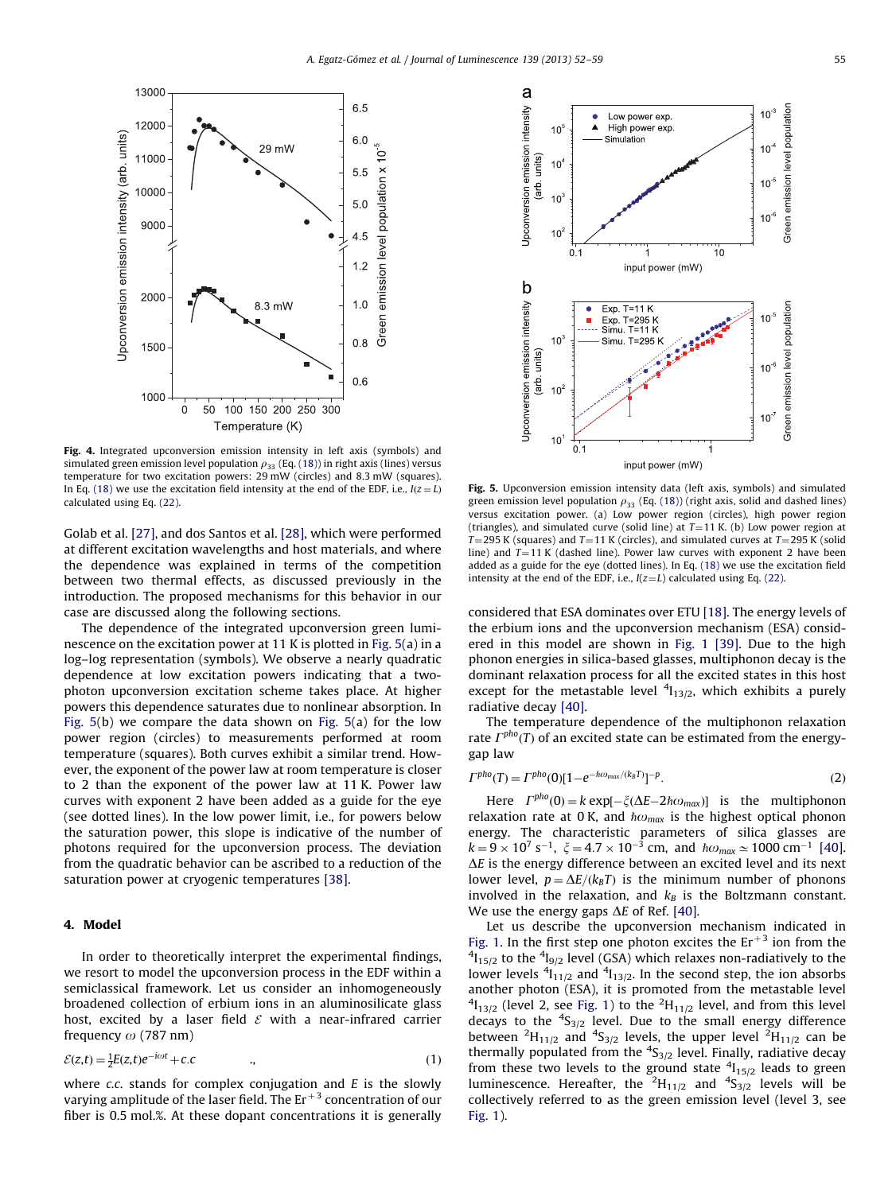<span id="page-3-0"></span>

Fig. 4. Integrated upconversion emission intensity in left axis (symbols) and simulated green emission level population  $\rho_{33}$  (Eq. (18)) in right axis (lines) versus temperature for two excitation powers: 29 mW (circles) and 8.3 mW (squares). In Eq. (18) we use the excitation field intensity at the end of the EDF, i.e.,  $I(z = L)$ calculated using Eq. (22).

Golab et al. [\[27\]](#page-7-0), and dos Santos et al. [\[28\]](#page-7-0), which were performed at different excitation wavelengths and host materials, and where the dependence was explained in terms of the competition between two thermal effects, as discussed previously in the introduction. The proposed mechanisms for this behavior in our case are discussed along the following sections.

The dependence of the integrated upconversion green luminescence on the excitation power at 11 K is plotted in Fig. 5(a) in a log–log representation (symbols). We observe a nearly quadratic dependence at low excitation powers indicating that a twophoton upconversion excitation scheme takes place. At higher powers this dependence saturates due to nonlinear absorption. In Fig. 5(b) we compare the data shown on Fig. 5(a) for the low power region (circles) to measurements performed at room temperature (squares). Both curves exhibit a similar trend. However, the exponent of the power law at room temperature is closer to 2 than the exponent of the power law at 11 K. Power law curves with exponent 2 have been added as a guide for the eye (see dotted lines). In the low power limit, i.e., for powers below the saturation power, this slope is indicative of the number of photons required for the upconversion process. The deviation from the quadratic behavior can be ascribed to a reduction of the saturation power at cryogenic temperatures [\[38\]](#page-7-0).

## 4. Model

In order to theoretically interpret the experimental findings, we resort to model the upconversion process in the EDF within a semiclassical framework. Let us consider an inhomogeneously broadened collection of erbium ions in an aluminosilicate glass host, excited by a laser field  $\mathcal E$  with a near-infrared carrier frequency  $\omega$  (787 nm)

$$
\mathcal{E}(z,t) = \frac{1}{2}E(z,t)e^{-i\omega t} + c.c \tag{1}
$$

where  $c.c.$  stands for complex conjugation and  $E$  is the slowly varying amplitude of the laser field. The  $Er+3$  concentration of our fiber is 0.5 mol.%. At these dopant concentrations it is generally



Fig. 5. Upconversion emission intensity data (left axis, symbols) and simulated green emission level population  $\rho_{33}$  (Eq. (18)) (right axis, solid and dashed lines) versus excitation power. (a) Low power region (circles), high power region (triangles), and simulated curve (solid line) at  $T=11$  K. (b) Low power region at T=295 K (squares) and T=11 K (circles), and simulated curves at T=295 K (solid line) and  $T=11$  K (dashed line). Power law curves with exponent 2 have been added as a guide for the eye (dotted lines). In Eq. (18) we use the excitation field intensity at the end of the EDF, i.e.,  $I(z=L)$  calculated using Eq. (22).

considered that ESA dominates over ETU [\[18\]](#page-7-0). The energy levels of the erbium ions and the upconversion mechanism (ESA) considered in this model are shown in [Fig. 1](#page-1-0) [\[39\]](#page-7-0). Due to the high phonon energies in silica-based glasses, multiphonon decay is the dominant relaxation process for all the excited states in this host except for the metastable level  ${}^{4}I_{13/2}$ , which exhibits a purely radiative decay [\[40\].](#page-7-0)

The temperature dependence of the multiphonon relaxation rate  $\Gamma^{pho}(T)$  of an excited state can be estimated from the energygap law

$$
\Gamma^{pho}(T) = \Gamma^{pho}(0)[1 - e^{-h\omega_{\text{max}}/(k_B T)}]^{-p}.
$$
\n(2)

Here  $\Gamma^{pho}(0) = k \exp[-\xi(\Delta E - 2\hbar \omega_{max})]$  is the multiphonon relaxation rate at 0 K, and  $\hbar\omega_{max}$  is the highest optical phonon energy. The characteristic parameters of silica glasses are  $k = 9 \times 10^7 \text{ s}^{-1}$ ,  $\xi = 4.7 \times 10^{-3} \text{ cm}$ , and  $\hbar \omega_{\text{max}} \simeq 1000 \text{ cm}^{-1}$  [\[40\].](#page-7-0)  $\Delta E$  is the energy difference between an excited level and its next lower level,  $p = \Delta E/(k_B T)$  is the minimum number of phonons involved in the relaxation, and  $k_B$  is the Boltzmann constant. We use the energy gaps  $\Delta E$  of Ref. [\[40\]](#page-7-0).

Let us describe the upconversion mechanism indicated in [Fig. 1.](#page-1-0) In the first step one photon excites the  $Er+3$  ion from the  $\frac{4}{15/2}$  to the  $\frac{4}{9/2}$  level (GSA) which relaxes non-radiatively to the lower levels  ${}^{4}I_{11/2}$  and  ${}^{4}I_{13/2}$ . In the second step, the ion absorbs another photon (ESA), it is promoted from the metastable level  $\binom{4}{13/2}$  (level 2, see [Fig. 1](#page-1-0)) to the  $\binom{2}{11/2}$  level, and from this level decays to the  ${}^{4}S_{3/2}$  level. Due to the small energy difference between <sup>2</sup>H<sub>11/2</sub> and <sup>4</sup>S<sub>3/2</sub> levels, the upper level <sup>2</sup>H<sub>11/2</sub> can be thermally populated from the  $\frac{4S_{3/2}}{2}$  level. Finally, radiative decay from these two levels to the ground state  $\frac{4}{15/2}$  leads to green luminescence. Hereafter, the  ${}^{2}H_{11/2}$  and  ${}^{4}S_{3/2}$  levels will be collectively referred to as the green emission level (level 3, see [Fig. 1](#page-1-0)).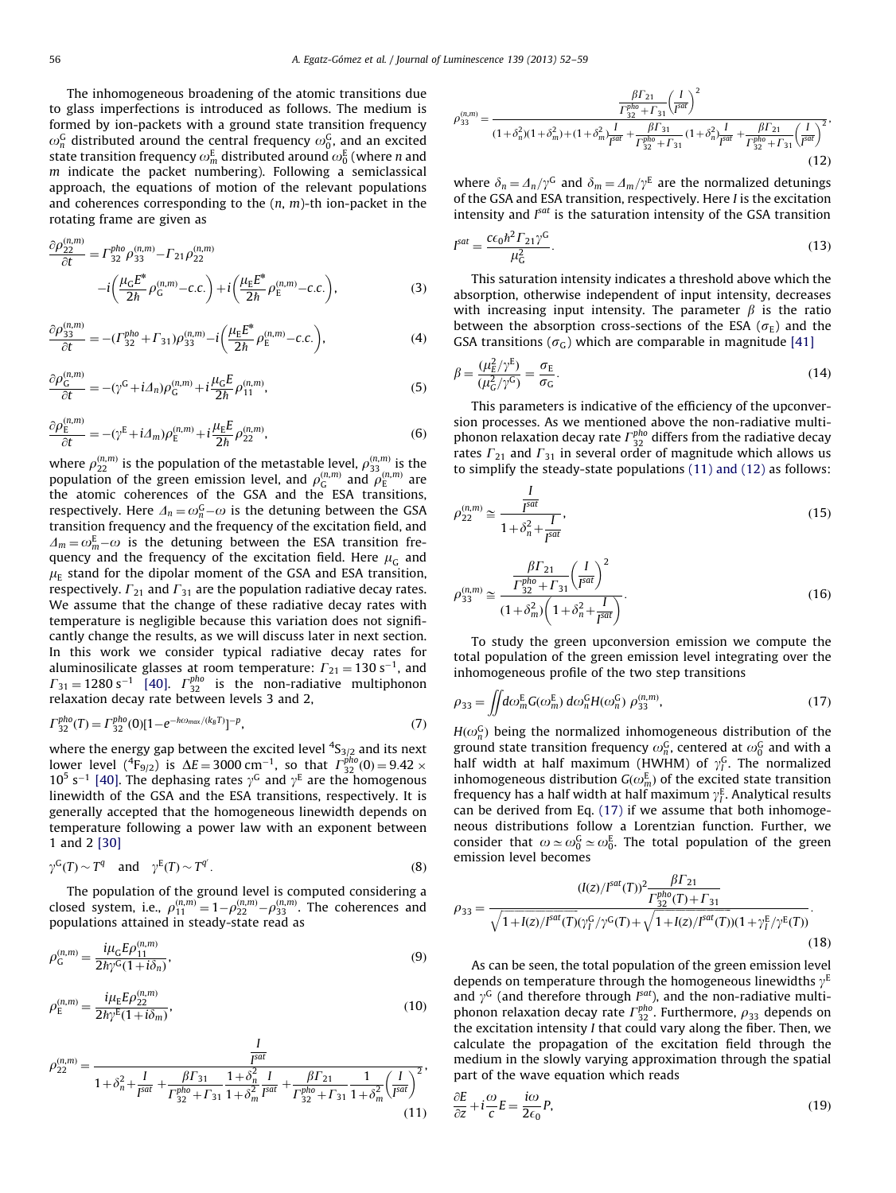The inhomogeneous broadening of the atomic transitions due to glass imperfections is introduced as follows. The medium is formed by ion-packets with a ground state transition frequency  $\omega_n^\mathsf{G}$  distributed around the central frequency  $\omega_0^\mathsf{G}$ , and an excited state transition frequency  $\omega_m^\mathrm{E}$  distributed around  $\omega_0^\mathrm{E}$  (where  $n$  and  $m$  indicate the packet numbering). Following a semiclassical approach, the equations of motion of the relevant populations and coherences corresponding to the  $(n, m)$ -th ion-packet in the rotating frame are given as

$$
\frac{\partial \rho_{22}^{(n,m)}}{\partial t} = \Gamma_{32}^{pho} \rho_{33}^{(n,m)} - \Gamma_{21} \rho_{22}^{(n,m)}
$$

$$
-i \left( \frac{\mu_{\rm G} E^*}{2h} \rho_{\rm G}^{(n,m)} - c.c. \right) + i \left( \frac{\mu_{\rm E} E^*}{2h} \rho_{\rm E}^{(n,m)} - c.c. \right),\tag{3}
$$

$$
\frac{\partial \rho_{33}^{(n,m)}}{\partial t} = -(\Gamma_{32}^{pho} + \Gamma_{31})\rho_{33}^{(n,m)} - i \left(\frac{\mu_E E^*}{2\hbar} \rho_E^{(n,m)} - c.c.\right),\tag{4}
$$

$$
\frac{\partial \rho_{\mathcal{G}}^{(n,m)}}{\partial t} = -(\gamma^{\mathcal{G}} + i\Delta_n)\rho_{\mathcal{G}}^{(n,m)} + i\frac{\mu_{\mathcal{G}}E}{2\hbar}\rho_{11}^{(n,m)},\tag{5}
$$

$$
\frac{\partial \rho_{\rm E}^{(n,m)}}{\partial t} = -(\gamma^{\rm E} + i\Delta_m)\rho_{\rm E}^{(n,m)} + i\frac{\mu_{\rm E}E}{2\hbar}\rho_{22}^{(n,m)},\tag{6}
$$

where  $\rho_{22}^{(n,m)}$  is the population of the metastable level,  $\rho_{33}^{(n,m)}$  is the population of the green emission level, and  $\rho_{\mathsf{G}}^{(n,m)}$  and  $\rho_{\mathsf{E}}^{(n,m)}$  are the atomic coherences of the GSA and the ESA transitions, respectively. Here  $\varDelta_n = \omega_n^\text{G} - \omega$  is the detuning between the GSA transition frequency and the frequency of the excitation field, and  $\Delta_m = \omega_m^E - \omega$  is the detuning between the ESA transition frequency and the frequency of the excitation field. Here  $\mu$ <sub>G</sub> and  $\mu_{\rm E}$  stand for the dipolar moment of the GSA and ESA transition, respectively.  $\Gamma_{21}$  and  $\Gamma_{31}$  are the population radiative decay rates. We assume that the change of these radiative decay rates with temperature is negligible because this variation does not significantly change the results, as we will discuss later in next section. In this work we consider typical radiative decay rates for aluminosilicate glasses at room temperature:  $\Gamma_{21} = 130 \text{ s}^{-1}$ , and  $\Gamma_{31}$  = 1280 s<sup>-1</sup> [\[40\].](#page-7-0)  $\Gamma_{32}^{pho}$  is the non-radiative multiphonon relaxation decay rate between levels 3 and 2,

$$
\Gamma_{32}^{pho}(T) = \Gamma_{32}^{pho}(0)[1 - e^{-\hbar\omega_{\text{max}}/(k_B T)}]^{-p},\tag{7}
$$

where the energy gap between the excited level  $^4S_{3/2}$  and its next lower level (<sup>4</sup>F<sub>9/2</sub>) is  $\Delta E = 3000 \text{ cm}^{-1}$ , so that  $\Gamma_{32}^{pho}(0) = 9.42 \times$  $10^5$  s<sup>-1</sup> [\[40\].](#page-7-0) The dephasing rates  $\gamma$ <sup>G</sup> and  $\gamma$ <sup>E</sup> are the homogenous linewidth of the GSA and the ESA transitions, respectively. It is generally accepted that the homogeneous linewidth depends on temperature following a power law with an exponent between 1 and 2 [\[30\]](#page-7-0)

$$
\gamma^{\mathsf{G}}(T) \sim T^{q} \quad \text{and} \quad \gamma^{\mathsf{E}}(T) \sim T^{q'}.
$$

The population of the ground level is computed considering a closed system, i.e.,  $\rho_{11}^{(n,m)} = 1 - \rho_{22}^{(n,m)} - \rho_{33}^{(n,m)}$ . The coherences and populations attained in steady-state read as

$$
\rho_{G}^{(n,m)} = \frac{i\mu_{G}E\rho_{11}^{(n,m)}}{2\hbar\gamma^{G}(1+i\delta_{n})},\tag{9}
$$

$$
\rho_{\rm E}^{(n,m)} = \frac{i\mu_{\rm E} E \rho_{22}^{(n,m)}}{2\hbar \gamma^{\rm E} (1 + i\delta_m)},\tag{10}
$$

$$
\rho_{22}^{(n,m)} = \frac{\frac{I}{f^{sat}}}{1 + \delta_n^2 + \frac{I}{f^{sat}} + \frac{\beta \Gamma_{31}}{\Gamma_{32}^{pho} + \Gamma_{31}} \frac{1 + \delta_n^2}{1 + \delta_m^2} \frac{I}{f^{sat}} + \frac{\beta \Gamma_{21}}{\Gamma_{32}^{pho} + \Gamma_{31}} \frac{1}{1 + \delta_m^2} \left(\frac{I}{f^{sat}}\right)^2},\tag{11}
$$

$$
\rho_{33}^{(n,m)} = \frac{\frac{\beta F_{21}}{\Gamma_{32}^{pho} + F_{31}} \left(\frac{I}{I^{sat}}\right)^2}{(1+\delta_n^2)(1+\delta_m^2) + (1+\delta_m^2)\frac{I}{I^{sat}} + \frac{\beta F_{31}}{\Gamma_{32}^{pho} + F_{31}} \left(1+\delta_n^2\right)\frac{I}{I^{sat}} + \frac{\beta F_{21}}{\Gamma_{32}^{pho} + F_{31}} \left(\frac{I}{I^{sat}}\right)^2}.
$$
\n(12)

where  $\delta_n = \Delta_n / \gamma^G$  and  $\delta_m = \Delta_m / \gamma^E$  are the normalized detunings of the GSA and ESA transition, respectively. Here I is the excitation intensity and  $I<sup>sat</sup>$  is the saturation intensity of the GSA transition

$$
I^{sat} = \frac{c\epsilon_0 \hbar^2 \Gamma_{21} \gamma^G}{\mu_G^2}.
$$
\n(13)

This saturation intensity indicates a threshold above which the absorption, otherwise independent of input intensity, decreases with increasing input intensity. The parameter  $\beta$  is the ratio between the absorption cross-sections of the ESA ( $\sigma_{\rm E}$ ) and the GSA transitions ( $\sigma$ <sub>C</sub>) which are comparable in magnitude [\[41\]](#page-7-0)

$$
\beta = \frac{(\mu_{\rm E}^2/\gamma^{\rm E})}{(\mu_{\rm G}^2/\gamma^{\rm G})} = \frac{\sigma_{\rm E}}{\sigma_{\rm G}}.\tag{14}
$$

This parameters is indicative of the efficiency of the upconversion processes. As we mentioned above the non-radiative multiphonon relaxation decay rate  $\Gamma^{pho}_{32}$  differs from the radiative decay rates  $\Gamma_{21}$  and  $\Gamma_{31}$  in several order of magnitude which allows us to simplify the steady-state populations (11) and (12) as follows:

$$
\rho_{22}^{(n,m)} \cong \frac{\frac{1}{I^{sat}}}{1 + \delta_n^2 + \frac{1}{I^{sat}}},\tag{15}
$$

$$
\rho_{33}^{(n,m)} \cong \frac{\frac{\beta \Gamma_{21}}{\Gamma_{32}^{pho} + \Gamma_{31}} \left(\frac{I}{I^{sat}}\right)^2}{(1 + \delta_m^2) \left(1 + \delta_n^2 + \frac{I}{I^{sat}}\right)}.
$$
\n(16)

To study the green upconversion emission we compute the total population of the green emission level integrating over the inhomogeneous profile of the two step transitions

$$
\rho_{33} = \iint d\omega_m^E G(\omega_m^E) d\omega_n^G H(\omega_n^G) \rho_{33}^{(n,m)}, \qquad (17)
$$

 $H(\omega_n^G)$  being the normalized inhomogeneous distribution of the ground state transition frequency  $\omega_n^G$ , centered at  $\omega_0^G$  and with a half width at half maximum (HWHM) of  $\gamma_I^G$ . The normalized inhomogeneous distribution  $G(\omega_m^E)$  of the excited state transition frequency has a half width at half maximum  $\gamma_I^{\rm E}$ . Analytical results can be derived from Eq. (17) if we assume that both inhomogeneous distributions follow a Lorentzian function. Further, we consider that  $\omega \simeq \omega_0^G \simeq \omega_0^E$ . The total population of the green emission level becomes

$$
\rho_{33} = \frac{(I(z)/I^{sat}(T))^2 \frac{\beta \Gamma_{21}}{\Gamma_{32}^{pho}(T) + \Gamma_{31}}}{\sqrt{1 + I(z)/I^{sat}(T)}(\gamma_I^G/\gamma^G(T) + \sqrt{1 + I(z)/I^{sat}(T)})(1 + \gamma_I^E/\gamma^E(T))}}.
$$
\n(18)

As can be seen, the total population of the green emission level depends on temperature through the homogeneous linewidths  $\gamma^E$ and  $\gamma^{\rm G}$  (and therefore through  $I^{sat}$ ), and the non-radiative multiphonon relaxation decay rate  $\Gamma^{pho}_{32}$ . Furthermore,  $\rho_{33}$  depends on the excitation intensity I that could vary along the fiber. Then, we calculate the propagation of the excitation field through the medium in the slowly varying approximation through the spatial part of the wave equation which reads

$$
\frac{\partial E}{\partial z} + i \frac{\omega}{c} E = \frac{i\omega}{2\epsilon_0} P,\tag{19}
$$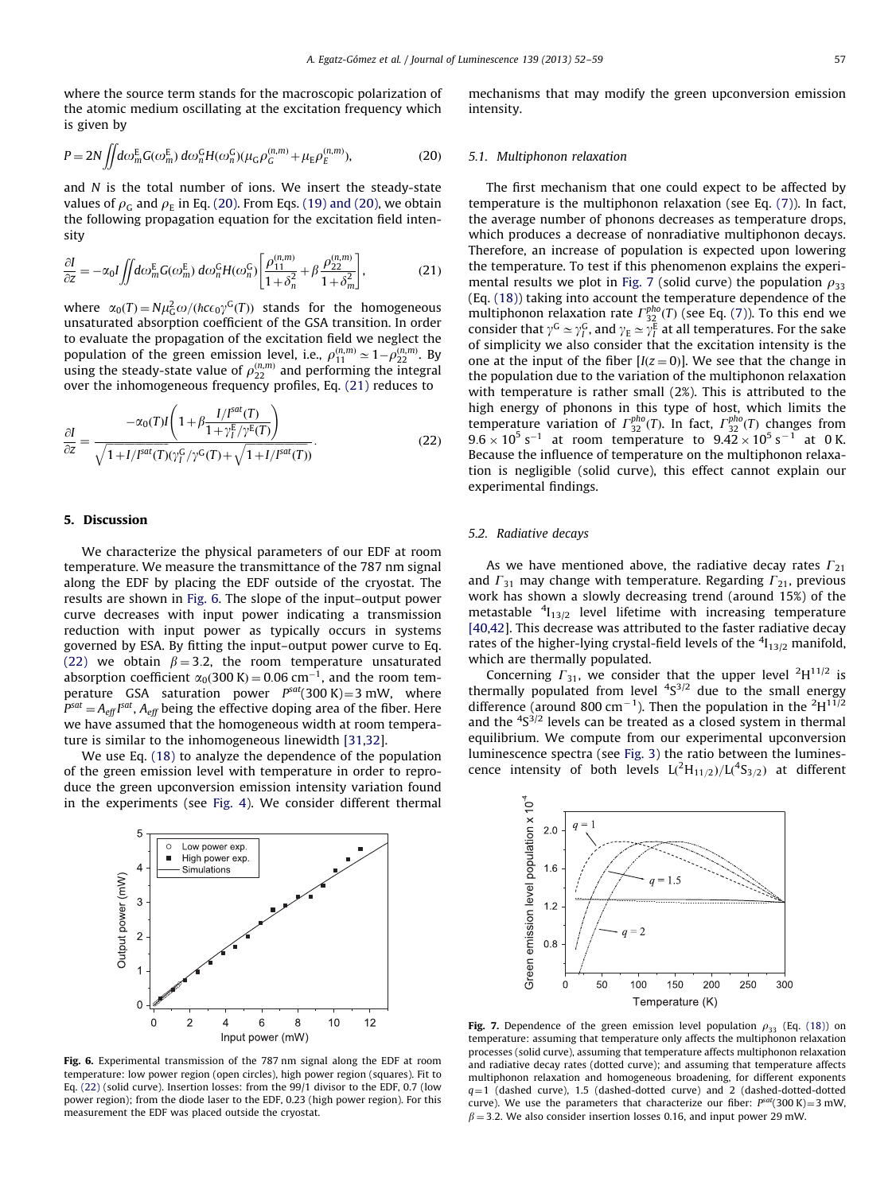<span id="page-5-0"></span>where the source term stands for the macroscopic polarization of the atomic medium oscillating at the excitation frequency which is given by

$$
P = 2N \iint d\omega_m^E G(\omega_m^E) d\omega_n^G H(\omega_n^G) (\mu_G \rho_G^{(n,m)} + \mu_E \rho_E^{(n,m)}),
$$
 (20)

and  $N$  is the total number of ions. We insert the steady-state values of  $\rho_{\rm G}$  and  $\rho_{\rm E}$  in Eq. (20). From Eqs. (19) and (20), we obtain the following propagation equation for the excitation field intensity

$$
\frac{\partial I}{\partial z} = -\alpha_0 I \iint d\omega_m^E G(\omega_m^E) d\omega_n^G H(\omega_n^G) \left[ \frac{\rho_{11}^{(n,m)}}{1 + \delta_n^2} + \beta \frac{\rho_{22}^{(n,m)}}{1 + \delta_m^2} \right],\tag{21}
$$

where  $\alpha_0(T) = N \mu_G^2 \omega / (\hbar c \epsilon_0 \gamma^G(T))$  stands for the homogeneous unsaturated absorption coefficient of the GSA transition. In order to evaluate the propagation of the excitation field we neglect the population of the green emission level, i.e.,  $\rho_{11}^{(n,m)} \simeq 1 - \rho_{22}^{(n,m)}$ . By using the steady-state value of  $\rho_{22}^{(n,m)}$  and performing the integral over the inhomogeneous frequency profiles, Eq. (21) reduces to

$$
\frac{\partial I}{\partial z} = \frac{-\alpha_0(T)I\left(1 + \beta \frac{I/I^{\text{sat}}(T)}{1 + \gamma_I^{\text{F}}/\gamma^{\text{E}}(T)}\right)}{\sqrt{1 + I/I^{\text{sat}}(T)}(\gamma_I^{\text{G}}/\gamma^{\text{G}}(T) + \sqrt{1 + I/I^{\text{sat}}(T)})}.
$$
\n(22)

## 5. Discussion

We characterize the physical parameters of our EDF at room temperature. We measure the transmittance of the 787 nm signal along the EDF by placing the EDF outside of the cryostat. The results are shown in Fig. 6. The slope of the input–output power curve decreases with input power indicating a transmission reduction with input power as typically occurs in systems governed by ESA. By fitting the input–output power curve to Eq. (22) we obtain  $\beta = 3.2$ , the room temperature unsaturated absorption coefficient  $\alpha_0(300 \text{ K}) = 0.06 \text{ cm}^{-1}$ , and the room temperature GSA saturation power  $P<sup>sat</sup>(300 K)=3 mW$ , where  $P^{sat}$   $=$   $A_{\textit{eff}}$   $I^{sat}$  ,  $A_{\textit{eff}}$  being the effective doping area of the fiber. Here we have assumed that the homogeneous width at room temperature is similar to the inhomogeneous linewidth [\[31,32\]](#page-7-0).

We use Eq. (18) to analyze the dependence of the population of the green emission level with temperature in order to reproduce the green upconversion emission intensity variation found in the experiments (see [Fig. 4\)](#page-3-0). We consider different thermal



Fig. 6. Experimental transmission of the 787 nm signal along the EDF at room temperature: low power region (open circles), high power region (squares). Fit to Eq. (22) (solid curve). Insertion losses: from the 99/1 divisor to the EDF, 0.7 (low power region); from the diode laser to the EDF, 0.23 (high power region). For this measurement the EDF was placed outside the cryostat.

mechanisms that may modify the green upconversion emission intensity.

## 5.1. Multiphonon relaxation

The first mechanism that one could expect to be affected by temperature is the multiphonon relaxation (see Eq. (7)). In fact, the average number of phonons decreases as temperature drops, which produces a decrease of nonradiative multiphonon decays. Therefore, an increase of population is expected upon lowering the temperature. To test if this phenomenon explains the experimental results we plot in Fig. 7 (solid curve) the population  $\rho_{33}$ (Eq. (18)) taking into account the temperature dependence of the multiphonon relaxation rate  $\Gamma^{pho}_{32}(T)$  (see Eq. (7)). To this end we consider that  $\gamma^{\rm G} \simeq \gamma_I^{\rm G}$ , and  $\gamma_{\rm E} \simeq \gamma_I^{\rm E}$  at all temperatures. For the sake of simplicity we also consider that the excitation intensity is the one at the input of the fiber  $[I(z = 0)]$ . We see that the change in the population due to the variation of the multiphonon relaxation with temperature is rather small (2%). This is attributed to the high energy of phonons in this type of host, which limits the temperature variation of  $\Gamma^{pho}_{32}(T)$ . In fact,  $\Gamma^{pho}_{32}(T)$  changes from  $9.6 \times 10^5$  s<sup>-1</sup> at room temperature to  $9.42 \times 10^5$  s<sup>-1</sup> at 0 K. Because the influence of temperature on the multiphonon relaxation is negligible (solid curve), this effect cannot explain our experimental findings.

# 5.2. Radiative decays

As we have mentioned above, the radiative decay rates  $\Gamma_{21}$ and  $\Gamma_{31}$  may change with temperature. Regarding  $\Gamma_{21}$ , previous work has shown a slowly decreasing trend (around 15%) of the metastable  ${}^{4}I_{13/2}$  level lifetime with increasing temperature [\[40,42\]](#page-7-0). This decrease was attributed to the faster radiative decay rates of the higher-lying crystal-field levels of the  $^4$ I $_{13/2}$  manifold, which are thermally populated.

Concerning  $\Gamma_{31}$ , we consider that the upper level <sup>2</sup>H<sup>11/2</sup> is thermally populated from level  $4S^{3/2}$  due to the small energy difference (around 800 cm<sup>-1</sup>). Then the population in the <sup>2</sup>H<sup>11/2</sup> and the  ${}^{4}S^{3/2}$  levels can be treated as a closed system in thermal equilibrium. We compute from our experimental upconversion luminescence spectra (see [Fig. 3\)](#page-2-0) the ratio between the luminescence intensity of both levels  $L(^{2}H_{11/2})/L(^{4}S_{3/2})$  at different



Fig. 7. Dependence of the green emission level population  $\rho_{33}$  (Eq. (18)) on temperature: assuming that temperature only affects the multiphonon relaxation processes (solid curve), assuming that temperature affects multiphonon relaxation and radiative decay rates (dotted curve); and assuming that temperature affects multiphonon relaxation and homogeneous broadening, for different exponents  $q=1$  (dashed curve), 1.5 (dashed-dotted curve) and 2 (dashed-dotted-dotted curve). We use the parameters that characterize our fiber:  $P<sup>sat</sup>(300 K)=3$  mW,  $\beta$  = 3.2. We also consider insertion losses 0.16, and input power 29 mW.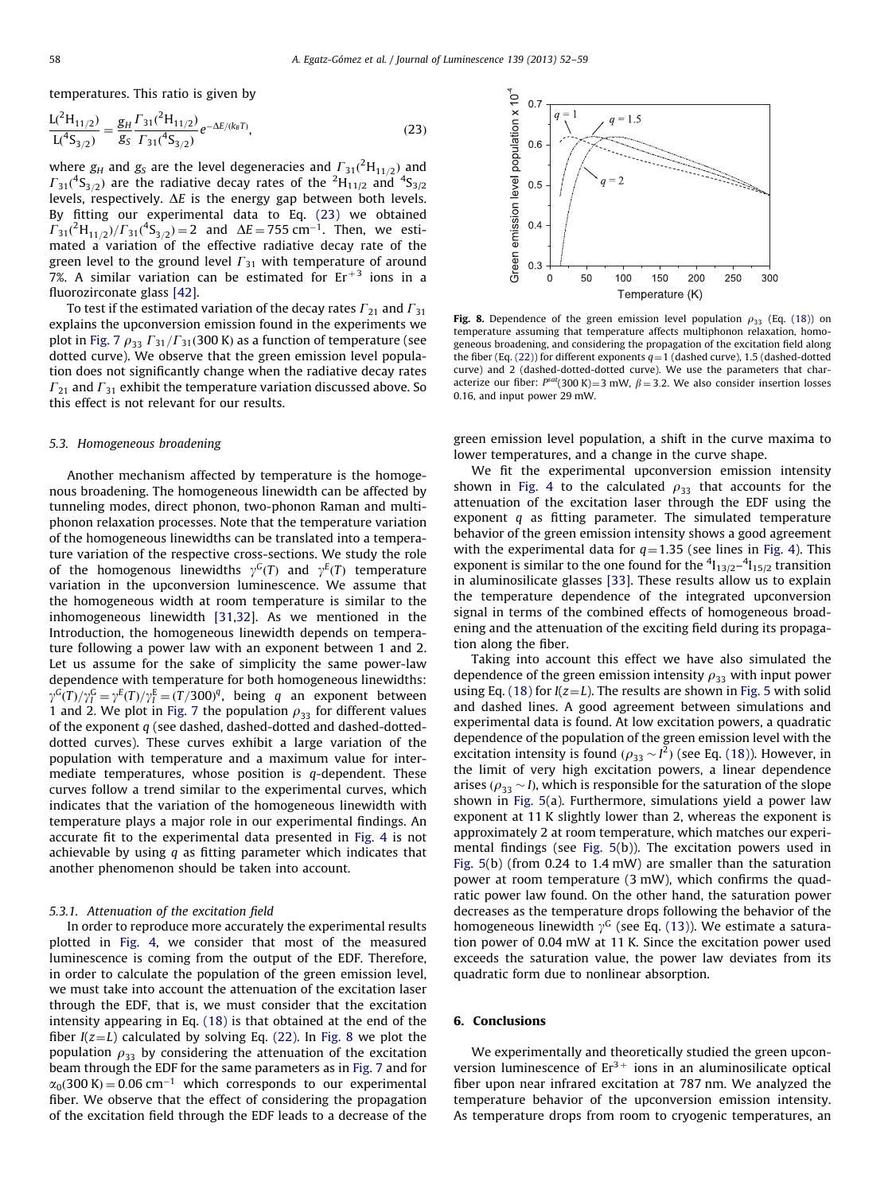temperatures. This ratio is given by

$$
\frac{L(^{2}H_{11/2})}{L(^{4}S_{3/2})} = \frac{g_{H} \Gamma_{31}(^{2}H_{11/2})}{g_{S} \Gamma_{31}(^{4}S_{3/2})}e^{-\Delta E/(k_{B}T)},
$$
\n(23)

where  $g_H$  and  $g_S$  are the level degeneracies and  $\Gamma_{31}({^2\text{H}_{11/2}})$  and  $\Gamma_{31}({}^4S_{3/2})$  are the radiative decay rates of the  ${}^2\mathrm{H}_{11/2}$  and  ${}^4S_{3/2}$ levels, respectively.  $\Delta E$  is the energy gap between both levels. By fitting our experimental data to Eq. (23) we obtained  $\Gamma_{31}({}^{2}H_{11/2})/\Gamma_{31}({}^{4}S_{3/2}) = 2$  and  $\Delta E = 755$  cm<sup>-1</sup>. Then, we estimated a variation of the effective radiative decay rate of the green level to the ground level  $\Gamma_{31}$  with temperature of around 7%. A similar variation can be estimated for  $Er^{+3}$  ions in a fluorozirconate glass [\[42\].](#page-7-0)

To test if the estimated variation of the decay rates  $\Gamma_{21}$  and  $\Gamma_{31}$ explains the upconversion emission found in the experiments we plot in [Fig. 7](#page-5-0)  $\rho_{33} \Gamma_{31}/\Gamma_{31}$ (300 K) as a function of temperature (see dotted curve). We observe that the green emission level population does not significantly change when the radiative decay rates  $\Gamma_{21}$  and  $\Gamma_{31}$  exhibit the temperature variation discussed above. So this effect is not relevant for our results.

#### 5.3. Homogeneous broadening

Another mechanism affected by temperature is the homogenous broadening. The homogeneous linewidth can be affected by tunneling modes, direct phonon, two-phonon Raman and multiphonon relaxation processes. Note that the temperature variation of the homogeneous linewidths can be translated into a temperature variation of the respective cross-sections. We study the role of the homogenous linewidths  $\gamma^G(T)$  and  $\gamma^E(T)$  temperature variation in the upconversion luminescence. We assume that the homogeneous width at room temperature is similar to the inhomogeneous linewidth [\[31,32\]](#page-7-0). As we mentioned in the Introduction, the homogeneous linewidth depends on temperature following a power law with an exponent between 1 and 2. Let us assume for the sake of simplicity the same power-law dependence with temperature for both homogeneous linewidths:  $\gamma^G(T)/\gamma_I^G = \gamma^E(T)/\gamma_I^E = (T/300)^q$ , being q an exponent between 1 and 2. We plot in [Fig. 7](#page-5-0) the population  $\rho_{33}$  for different values of the exponent q (see dashed, dashed-dotted and dashed-dotteddotted curves). These curves exhibit a large variation of the population with temperature and a maximum value for intermediate temperatures, whose position is  $q$ -dependent. These curves follow a trend similar to the experimental curves, which indicates that the variation of the homogeneous linewidth with temperature plays a major role in our experimental findings. An accurate fit to the experimental data presented in [Fig. 4](#page-3-0) is not achievable by using  $q$  as fitting parameter which indicates that another phenomenon should be taken into account.

#### 5.3.1. Attenuation of the excitation field

In order to reproduce more accurately the experimental results plotted in [Fig. 4,](#page-3-0) we consider that most of the measured luminescence is coming from the output of the EDF. Therefore, in order to calculate the population of the green emission level, we must take into account the attenuation of the excitation laser through the EDF, that is, we must consider that the excitation intensity appearing in Eq. (18) is that obtained at the end of the fiber  $I(z=L)$  calculated by solving Eq. (22). In Fig. 8 we plot the population  $\rho_{33}$  by considering the attenuation of the excitation beam through the EDF for the same parameters as in [Fig. 7](#page-5-0) and for  $\alpha_0$ (300 K) = 0.06 cm<sup>-1</sup> which corresponds to our experimental fiber. We observe that the effect of considering the propagation of the excitation field through the EDF leads to a decrease of the



Fig. 8. Dependence of the green emission level population  $\rho_{33}$  (Eq. (18)) on temperature assuming that temperature affects multiphonon relaxation, homogeneous broadening, and considering the propagation of the excitation field along the fiber (Eq. (22)) for different exponents  $q=1$  (dashed curve), 1.5 (dashed-dotted curve) and 2 (dashed-dotted-dotted curve). We use the parameters that characterize our fiber:  $P<sup>sat</sup>(300 K) = 3 mW$ ,  $\beta = 3.2$ . We also consider insertion losses 0.16, and input power 29 mW.

green emission level population, a shift in the curve maxima to lower temperatures, and a change in the curve shape.

We fit the experimental upconversion emission intensity shown in [Fig. 4](#page-3-0) to the calculated  $\rho_{33}$  that accounts for the attenuation of the excitation laser through the EDF using the exponent  $q$  as fitting parameter. The simulated temperature behavior of the green emission intensity shows a good agreement with the experimental data for  $q=1.35$  (see lines in [Fig. 4\)](#page-3-0). This exponent is similar to the one found for the  $\frac{4}{13/2} - \frac{4}{15/2}$  transition in aluminosilicate glasses [\[33\]](#page-7-0). These results allow us to explain the temperature dependence of the integrated upconversion signal in terms of the combined effects of homogeneous broadening and the attenuation of the exciting field during its propagation along the fiber.

Taking into account this effect we have also simulated the dependence of the green emission intensity  $\rho_{33}$  with input power using Eq. (18) for  $I(z=L)$ . The results are shown in [Fig. 5](#page-3-0) with solid and dashed lines. A good agreement between simulations and experimental data is found. At low excitation powers, a quadratic dependence of the population of the green emission level with the excitation intensity is found  $(\rho_{33} \sim l^2)$  (see Eq. (18)). However, in the limit of very high excitation powers, a linear dependence arises ( $\rho_{33} \sim I$ ), which is responsible for the saturation of the slope shown in [Fig. 5](#page-3-0)(a). Furthermore, simulations yield a power law exponent at 11 K slightly lower than 2, whereas the exponent is approximately 2 at room temperature, which matches our experimental findings (see [Fig. 5\(](#page-3-0)b)). The excitation powers used in [Fig. 5](#page-3-0)(b) (from 0.24 to 1.4 mW) are smaller than the saturation power at room temperature (3 mW), which confirms the quadratic power law found. On the other hand, the saturation power decreases as the temperature drops following the behavior of the homogeneous linewidth  $\gamma$ <sup>G</sup> (see Eq. (13)). We estimate a saturation power of 0.04 mW at 11 K. Since the excitation power used exceeds the saturation value, the power law deviates from its quadratic form due to nonlinear absorption.

#### 6. Conclusions

We experimentally and theoretically studied the green upconversion luminescence of  $Er^{3+}$  ions in an aluminosilicate optical fiber upon near infrared excitation at 787 nm. We analyzed the temperature behavior of the upconversion emission intensity. As temperature drops from room to cryogenic temperatures, an